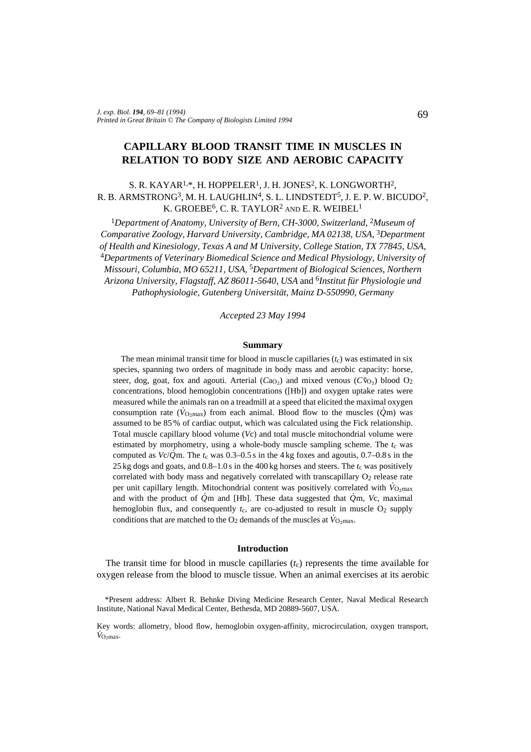# **CAPILLARY BLOOD TRANSIT TIME IN MUSCLES IN RELATION TO BODY SIZE AND AEROBIC CAPACITY**

## S. R. KAYAR<sup>1,\*</sup>, H. HOPPELER<sup>1</sup>, J. H. JONES<sup>2</sup>, K. LONGWORTH<sup>2</sup>, R. B. ARMSTRONG<sup>3</sup>, M. H. LAUGHLIN<sup>4</sup>, S. L. LINDSTEDT<sup>5</sup>, J. E. P. W. BICUDO<sup>2</sup>, K. GROEBE<sup>6</sup>, C. R. TAYLOR<sup>2</sup> AND E. R. WEIBEL<sup>1</sup>

<sup>1</sup>Department of Anatomy, University of Bern, CH-3000, Switzerland, <sup>2</sup>Museum of *Comparative Zoology, Harvard University, Cambridge, MA 02138, USA,* 3*Department of Health and Kinesiology, Texas A and M University, College Station, TX 77845, USA,* <sup>4</sup>*Departments of Veterinary Biomedical Science and Medical Physiology, University of Missouri, Columbia, MO 65211, USA,* 5*Department of Biological Sciences, Northern Arizona University, Flagstaff, AZ 86011-5640, USA* and 6*Institut für Physiologie und Pathophysiologie, Gutenberg Universität, Mainz D-550990, Germany*

*Accepted 23 May 1994*

### **Summary**

The mean minimal transit time for blood in muscle capillaries  $(t_c)$  was estimated in six species, spanning two orders of magnitude in body mass and aerobic capacity: horse, steer, dog, goat, fox and agouti. Arterial  $(Ca<sub>O2</sub>)$  and mixed venous  $(C\bar{v}_{O2})$  blood  $O<sub>2</sub>$ concentrations, blood hemoglobin concentrations ([Hb]) and oxygen uptake rates were measured while the animals ran on a treadmill at a speed that elicited the maximal oxygen  $\sum_{n=1}^{\infty}$   $\sum_{n=1}^{\infty}$   $\sum_{n=1}^{\infty}$  and  $\sum_{n=1}^{\infty}$  and  $\sum_{n=1}^{\infty}$  and  $\sum_{n=1}^{\infty}$  and  $\sum_{n=1}^{\infty}$   $\sum_{n=1}^{\infty}$   $\sum_{n=1}^{\infty}$   $\sum_{n=1}^{\infty}$   $\sum_{n=1}^{\infty}$   $\sum_{n=1}^{\infty}$   $\sum_{n=1}^{\infty}$   $\sum_{n=1}^{\$ assumed to be 85 % of cardiac output, which was calculated using the Fick relationship. Total muscle capillary blood volume (*V*c) and total muscle mitochondrial volume were estimated by morphometry, using a whole-body muscle sampling scheme. The  $t_c$  was computed as  $Vc/\dot{Q}$ m. The  $t_c$  was 0.3–0.5 s in the 4 kg foxes and agoutis,  $0.7-0.8$  s in the 25 kg dogs and goats, and  $0.8-1.0$  s in the  $400$  kg horses and steers. The  $t_c$  was positively correlated with body mass and negatively correlated with transcapillary  $O<sub>2</sub>$  release rate per unit capillary length. Mitochondrial content was positively correlated with *V*<sub>O2max</sub> and with the product of  $\dot{Q}$ m and [Hb]. These data suggested that  $\dot{Q}$ m, *Vc*, maximal hemoglobin flux, and consequently  $t_c$ , are co-adjusted to result in muscle  $O_2$  supply conditions that are matched to the  $O_2$  demands of the muscles at  $\dot{V}_{O_2 \text{max}}$ .

#### **Introduction**

The transit time for blood in muscle capillaries  $(t<sub>c</sub>)$  represents the time available for oxygen release from the blood to muscle tissue. When an animal exercises at its aerobic

<sup>\*</sup>Present address: Albert R. Behnke Diving Medicine Research Center, Naval Medical Research Institute, National Naval Medical Center, Bethesda, MD 20889-5607, USA.

Key words: allometry, blood flow, hemoglobin oxygen-affinity, microcirculation, oxygen transport,  $V_{\text{O}_2 \text{max}}$ .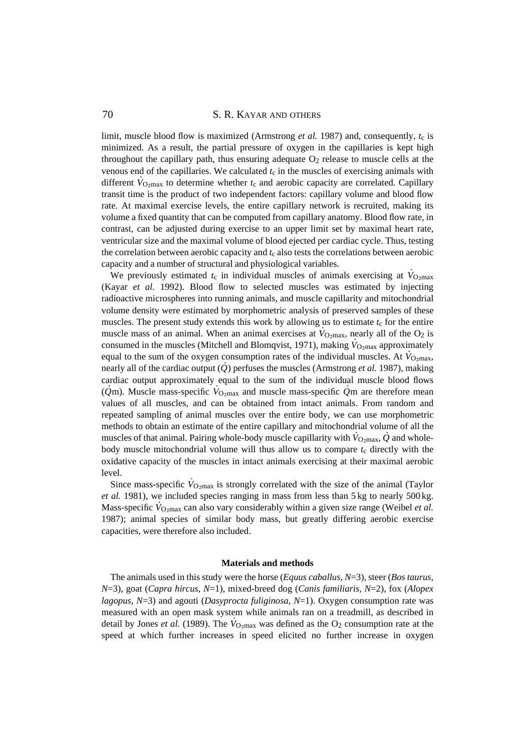## 70 S. R. KAYAR AND OTHERS

limit, muscle blood flow is maximized (Armstrong *et al.* 1987) and, consequently, *t*c is minimized. As a result, the partial pressure of oxygen in the capillaries is kept high throughout the capillary path, thus ensuring adequate  $O<sub>2</sub>$  release to muscle cells at the venous end of the capillaries. We calculated  $t_c$  in the muscles of exercising animals with different  $\dot{V}_{\text{O}_2\text{max}}$  to determine whether  $t_c$  and aerobic capacity are correlated. Capillary transit time is the product of two independent factors: capillary volume and blood flow rate. At maximal exercise levels, the entire capillary network is recruited, making its volume a fixed quantity that can be computed from capillary anatomy. Blood flow rate, in contrast, can be adjusted during exercise to an upper limit set by maximal heart rate, ventricular size and the maximal volume of blood ejected per cardiac cycle. Thus, testing the correlation between aerobic capacity and  $t_c$  also tests the correlations between aerobic capacity and a number of structural and physiological variables.

We previously estimated  $t_c$  in individual muscles of animals exercising at  $\dot{V}_{\text{O}_2\text{max}}$ (Kayar *et al.* 1992). Blood flow to selected muscles was estimated by injecting radioactive microspheres into running animals, and muscle capillarity and mitochondrial volume density were estimated by morphometric analysis of preserved samples of these muscles. The present study extends this work by allowing us to estimate  $t_c$  for the entire muscles. The present staty extents and work by anowing as to estimate it for the entire muscle mass of an animal. When an animal exercises at  $V_{\text{O}_2\text{max}}$ , nearly all of the  $O_2$  is consumed in the muscles (Mitchell and Blomqvist, 1971), making  $\dot{V}_{\text{O}_2\text{max}}$  approximately equal to the sum of the oxygen consumption rates of the individual muscles. At  $\dot{V}_{Q_2max}$ , nearly all of the cardiac output  $(\dot{Q})$  perfuses the muscles (Armstrong *et al.* 1987), making cardiac output approximately equal to the sum of the individual muscle blood flows  $(\dot{Q}$ m). Muscle mass-specific  $\dot{V}_{Q_2max}$  and muscle mass-specific  $\dot{Q}$ m are therefore mean values of all muscles, and can be obtained from intact animals. From random and repeated sampling of animal muscles over the entire body, we can use morphometric methods to obtain an estimate of the entire capillary and mitochondrial volume of all the muscles of that animal. Pairing whole-body muscle capillarity with  $\dot{V}_{Q_{2}max}$ ,  $\dot{Q}$  and wholebody muscle mitochondrial volume will thus allow us to compare  $t_c$  directly with the oxidative capacity of the muscles in intact animals exercising at their maximal aerobic level.

Since mass-specific  $\dot{V}_{\text{O}_2\text{max}}$  is strongly correlated with the size of the animal (Taylor *et al.* 1981), we included species ranging in mass from less than 5 kg to nearly 500 kg.  $W$ ass-specific  $V_{\text{O}_2\text{max}}$  can also vary considerably within a given size range (Weibel *et al.*) 1987); animal species of similar body mass, but greatly differing aerobic exercise capacities, were therefore also included.

### **Materials and methods**

The animals used in this study were the horse (*Equus caballus*, *N*=3), steer (*Bos taurus*, *N*=3), goat (*Capra hircus*, *N*=1), mixed-breed dog (*Canis familiaris*, *N*=2), fox (*Alopex lagopus*, *N*=3) and agouti (*Dasyprocta fuliginosa*, *N*=1). Oxygen consumption rate was measured with an open mask system while animals ran on a treadmill, as described in detail by Jones *et al.* (1989). The  $\dot{V}_{Q_2max}$  was defined as the  $O_2$  consumption rate at the speed at which further increases in speed elicited no further increase in oxygen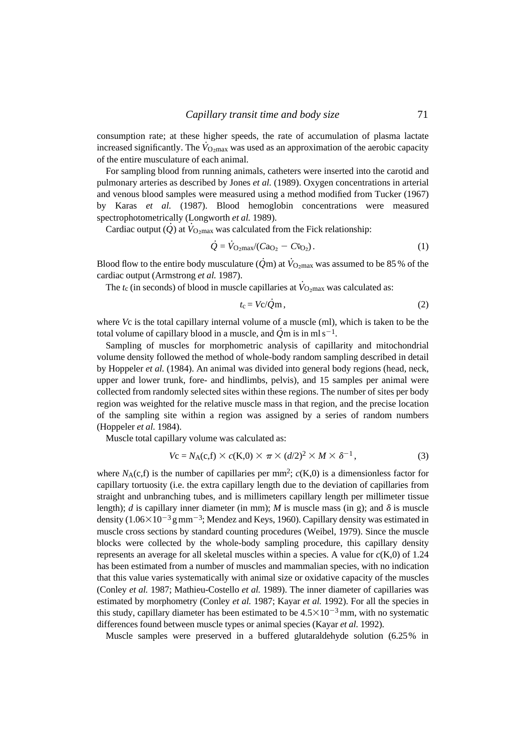consumption rate; at these higher speeds, the rate of accumulation of plasma lactate increased significantly. The  $\dot{V}_{\text{O}_2\text{max}}$  was used as an approximation of the aerobic capacity of the entire musculature of each animal.

For sampling blood from running animals, catheters were inserted into the carotid and pulmonary arteries as described by Jones *et al.* (1989). Oxygen concentrations in arterial and venous blood samples were measured using a method modified from Tucker (1967) by Karas *et al.* (1987). Blood hemoglobin concentrations were measured spectrophotometrically (Longworth *et al.* 1989).

 $\alpha$  cardiac output ( $\dot{Q}$ ) at  $\dot{V}_{Q_2}$  max was calculated from the Fick relationship:

$$
\dot{Q} = \dot{V}_{\text{O}_2 \text{max}} / (Ca_{\text{O}_2} - C_{\text{O}_2}). \tag{1}
$$

Blood flow to the entire body musculature ( $\dot{Q}$ m) at  $\dot{V}_{\rm O_2max}$  was assumed to be 85 % of the cardiac output (Armstrong *et al.* 1987).

The  $t_c$  (in seconds) of blood in muscle capillaries at  $\dot{V}_{\text{O}_2\text{max}}$  was calculated as:

$$
t_{\rm c} = V_{\rm C}/\dot{Q}_{\rm m},\tag{2}
$$

where *V*c is the total capillary internal volume of a muscle (ml), which is taken to be the total volume of capillary blood in a muscle, and  $\dot{Q}$ m is in ml s<sup>-1</sup>.

Sampling of muscles for morphometric analysis of capillarity and mitochondrial volume density followed the method of whole-body random sampling described in detail by Hoppeler *et al.* (1984). An animal was divided into general body regions (head, neck, upper and lower trunk, fore- and hindlimbs, pelvis), and 15 samples per animal were collected from randomly selected sites within these regions. The number of sites per body region was weighted for the relative muscle mass in that region, and the precise location of the sampling site within a region was assigned by a series of random numbers (Hoppeler *et al.* 1984).

Muscle total capillary volume was calculated as:

$$
Vc = N_A(c, f) \times c(K, 0) \times \pi \times (d/2)^2 \times M \times \delta^{-1},
$$
\n(3)

where  $N_A(c,f)$  is the number of capillaries per mm<sup>2</sup>;  $c(K,0)$  is a dimensionless factor for capillary tortuosity (i.e. the extra capillary length due to the deviation of capillaries from straight and unbranching tubes, and is millimeters capillary length per millimeter tissue length); *d* is capillary inner diameter (in mm); *M* is muscle mass (in g); and  $\delta$  is muscle density  $(1.06\times10^{-3}$  g mm<sup>-3</sup>; Mendez and Keys, 1960). Capillary density was estimated in muscle cross sections by standard counting procedures (Weibel, 1979). Since the muscle blocks were collected by the whole-body sampling procedure, this capillary density represents an average for all skeletal muscles within a species. A value for  $c(K,0)$  of 1.24 has been estimated from a number of muscles and mammalian species, with no indication that this value varies systematically with animal size or oxidative capacity of the muscles (Conley *et al.* 1987; Mathieu-Costello *et al.* 1989). The inner diameter of capillaries was estimated by morphometry (Conley *et al.* 1987; Kayar *et al.* 1992). For all the species in this study, capillary diameter has been estimated to be  $4.5 \times 10^{-3}$  mm, with no systematic differences found between muscle types or animal species (Kayar *et al.* 1992).

Muscle samples were preserved in a buffered glutaraldehyde solution (6.25% in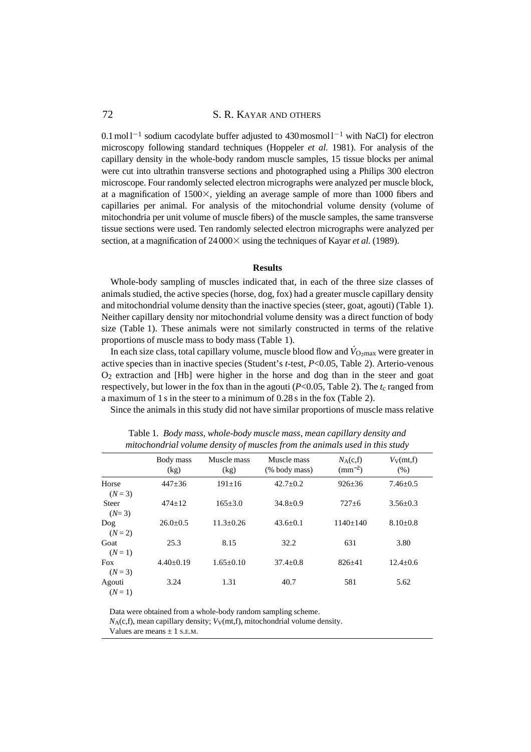## 72 S. R. KAYAR AND OTHERS

 $0.1 \text{ mol}^{-1}$  sodium cacodylate buffer adjusted to 430 mosmol  $1^{-1}$  with NaCl) for electron microscopy following standard techniques (Hoppeler *et al.* 1981). For analysis of the capillary density in the whole-body random muscle samples, 15 tissue blocks per animal were cut into ultrathin transverse sections and photographed using a Philips 300 electron microscope. Four randomly selected electron micrographs were analyzed per muscle block, at a magnification of  $1500\times$ , yielding an average sample of more than 1000 fibers and capillaries per animal. For analysis of the mitochondrial volume density (volume of mitochondria per unit volume of muscle fibers) of the muscle samples, the same transverse tissue sections were used. Ten randomly selected electron micrographs were analyzed per section, at a magnification of  $24000 \times$  using the techniques of Kayar *et al.* (1989).

### **Results**

Whole-body sampling of muscles indicated that, in each of the three size classes of animals studied, the active species (horse, dog, fox) had a greater muscle capillary density and mitochondrial volume density than the inactive species (steer, goat, agouti) (Table 1). Neither capillary density nor mitochondrial volume density was a direct function of body size (Table 1). These animals were not similarly constructed in terms of the relative proportions of muscle mass to body mass (Table 1).

In each size class, total capillary volume, muscle blood flow and  $\dot{V}_{\text{O}_2\text{max}}$  were greater in active species than in inactive species (Student's *t*-test, *P*<0.05, Table 2). Arterio-venous O2 extraction and [Hb] were higher in the horse and dog than in the steer and goat respectively, but lower in the fox than in the agouti  $(P<0.05$ , Table 2). The  $t_c$  ranged from a maximum of 1 s in the steer to a minimum of 0.28 s in the fox (Table 2).

Since the animals in this study did not have similar proportions of muscle mass relative

|                         | Body mass<br>(kg) | Muscle mass<br>(kg) | Muscle mass<br>(% body mass) | $N_A(c,f)$<br>$(mm^{-2})$ | $V_V$ (mt,f)<br>(% ) |
|-------------------------|-------------------|---------------------|------------------------------|---------------------------|----------------------|
| Horse<br>$(N=3)$        | $447 + 36$        | $191 + 16$          | $42.7 \pm 0.2$               | $926 \pm 36$              | $7.46 \pm 0.5$       |
| <b>Steer</b><br>$(N=3)$ | $474+12$          | $165 \pm 3.0$       | $34.8 \pm 0.9$               | $727 + 6$                 | $3.56 \pm 0.3$       |
| $\log$<br>$(N=2)$       | $26.0+0.5$        | $11.3 + 0.26$       | $43.6 + 0.1$                 | $1140+140$                | $8.10 \pm 0.8$       |
| Goat<br>$(N=1)$         | 25.3              | 8.15                | 32.2                         | 631                       | 3.80                 |
| <b>Fox</b><br>$(N = 3)$ | $4.40 \pm 0.19$   | $1.65+0.10$         | $37.4 \pm 0.8$               | $826 + 41$                | $12.4 + 0.6$         |
| Agouti<br>$(N=1)$       | 3.24              | 1.31                | 40.7                         | 581                       | 5.62                 |

Table 1*. Body mass, whole-body muscle mass, mean capillary density and mitochondrial volume density of muscles from the animals used in this study*

Data were obtained from a whole-body random sampling scheme.

 $N_A(c,f)$ , mean capillary density;  $V_V(mt,f)$ , mitochondrial volume density.

Values are means  $\pm$  1 s.E.M.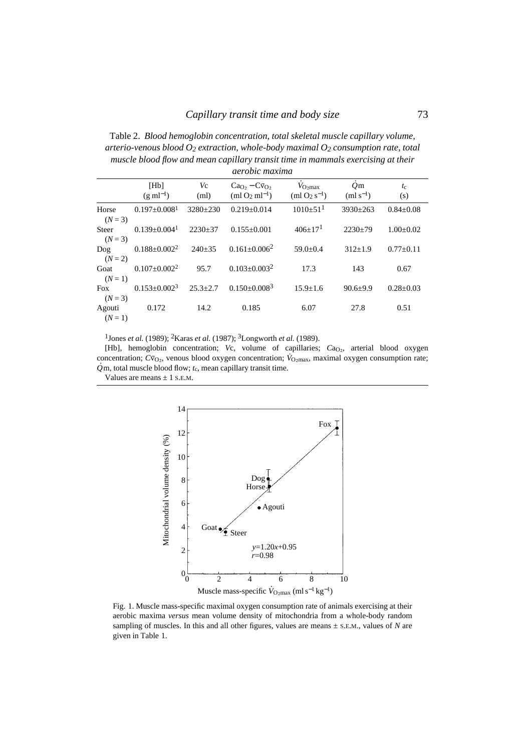Table 2. *Blood hemoglobin concentration, total skeletal muscle capillary volume, arterio-venous blood O2 extraction, whole-body maximal O2 consumption rate, total muscle blood flow and mean capillary transit time in mammals exercising at their aerobic maxima*

|                         | [Hb]<br>$(g \text{ ml}^{-1})$ | Vc<br>(ml)     | $CaO2 - C\bar{v}O$<br>$(ml O2 ml-1)$ | $V_{\text{O} \text{-} \text{max}}$<br>$(m1 O2 s-1)$ | O <sub>m</sub><br>$(mls^{-1})$ | $t_c$<br>(s)    |
|-------------------------|-------------------------------|----------------|--------------------------------------|-----------------------------------------------------|--------------------------------|-----------------|
| Horse<br>$(N=3)$        | $0.197 + 0.0081$              | $3280 + 230$   | $0.219 + 0.014$                      | $1010+51$ <sup>1</sup>                              | $3930+263$                     | $0.84 \pm 0.08$ |
| <b>Steer</b><br>$(N=3)$ | $0.139 + 0.004$               | $2230 \pm 37$  | $0.155+0.001$                        | $406+17$ <sup>1</sup>                               | $2230+79$                      | $1.00 \pm 0.02$ |
| $\log$<br>$(N=2)$       | $0.188 \pm 0.002^2$           | $240+35$       | $0.161 + 0.006^2$                    | $59.0+0.4$                                          | $312+1.9$                      | $0.77 \pm 0.11$ |
| Goat<br>$(N=1)$         | $0.107 + 0.002^2$             | 95.7           | $0.103 + 0.003^2$                    | 17.3                                                | 143                            | 0.67            |
| <b>Fox</b><br>$(N=3)$   | $0.153 + 0.0023$              | $25.3 \pm 2.7$ | $0.150 + 0.008^{3}$                  | $15.9 \pm 1.6$                                      | $90.6 \pm 9.9$                 | $0.28 \pm 0.03$ |
| Agouti<br>$(N=1)$       | 0.172                         | 14.2           | 0.185                                | 6.07                                                | 27.8                           | 0.51            |

1Jones *et al.* (1989); 2Karas *et al.* (1987); 3Longworth *et al.* (1989).

[Hb], hemoglobin concentration; *Vc*, volume of capillaries; *Ca*<sub>2</sub>, arterial blood oxygen concentration;  $C$ ⊽<sub>O2</sub>, venous blood oxygen concentration;  $\dot{V}_{O_2$ max, maximal oxygen consumption rate;  $\dot{Q}$ m, total muscle blood flow; *t*<sub>c</sub>, mean capillary transit time.

Values are means  $\pm$  1 s.E.M.



Fig. 1. Muscle mass-specific maximal oxygen consumption rate of animals exercising at their aerobic maxima *versus* mean volume density of mitochondria from a whole-body random sampling of muscles. In this and all other figures, values are means  $\pm$  s.E.M., values of *N* are given in Table 1.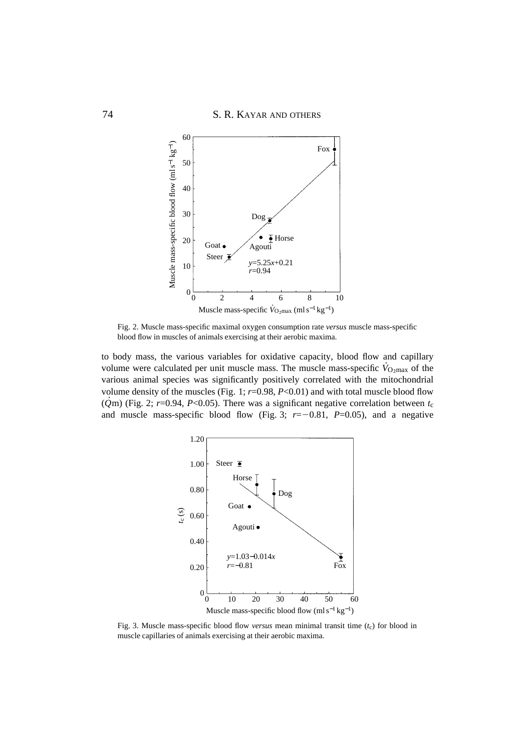

Fig. 2. Muscle mass-specific maximal oxygen consumption rate *versus* muscle mass-specific blood flow in muscles of animals exercising at their aerobic maxima.

to body mass, the various variables for oxidative capacity, blood flow and capillary volume were calculated per unit muscle mass. The muscle mass-specific  $\dot{V}_{Q2max}$  of the various animal species was significantly positively correlated with the mitochondrial volume density of the muscles (Fig. 1; *r*=0.98, *P*<0.01) and with total muscle blood flow ( $\dot{Q}$ m) (Fig. 2; *r*=0.94, *P*<0.05). There was a significant negative correlation between *t*<sub>c</sub> and muscle mass-specific blood flow (Fig. 3;  $r=-0.81$ ,  $P=0.05$ ), and a negative



Fig. 3. Muscle mass-specific blood flow *versus* mean minimal transit time (*t*c) for blood in muscle capillaries of animals exercising at their aerobic maxima.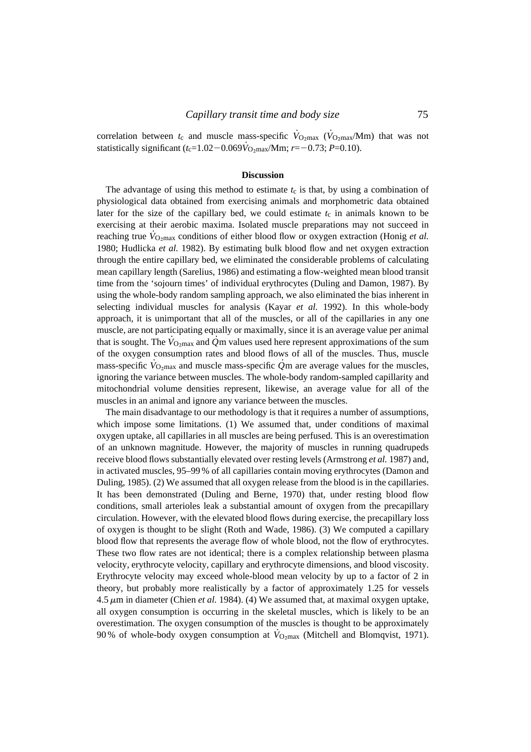correlation between  $t_c$  and muscle mass-specific  $\dot{V}_{\text{O}_2\text{max}}(\dot{V}_{\text{O}_2\text{max}}/M\text{m})$  that was not statistically significant ( $t_c$ =1.02–0.069 $\dot{V}_{Q_2max}/Mm$ ; *r*=-0.73; *P*=0.10).

#### **Discussion**

The advantage of using this method to estimate  $t_c$  is that, by using a combination of physiological data obtained from exercising animals and morphometric data obtained later for the size of the capillary bed, we could estimate  $t_c$  in animals known to be exercising at their aerobic maxima. Isolated muscle preparations may not succeed in reaching true *V*<sub>O<sub>2</sub>max</sub> conditions of either blood flow or oxygen extraction (Honig *et al.*) 1980; Hudlicka *et al.* 1982). By estimating bulk blood flow and net oxygen extraction through the entire capillary bed, we eliminated the considerable problems of calculating mean capillary length (Sarelius, 1986) and estimating a flow-weighted mean blood transit time from the 'sojourn times' of individual erythrocytes (Duling and Damon, 1987). By using the whole-body random sampling approach, we also eliminated the bias inherent in selecting individual muscles for analysis (Kayar *et al.* 1992). In this whole-body approach, it is unimportant that all of the muscles, or all of the capillaries in any one muscle, are not participating equally or maximally, since it is an average value per animal that is sought. The  $\dot{V}_{Q<sub>2</sub>max}$  and  $\dot{Q}$ m values used here represent approximations of the sum of the oxygen consumption rates and blood flows of all of the muscles. Thus, muscle  $\frac{1}{2}$  mass-specific  $\dot{V}_{Q_{2}max}$  and muscle mass-specific  $\dot{Q}$  m are average values for the muscles, ignoring the variance between muscles. The whole-body random-sampled capillarity and mitochondrial volume densities represent, likewise, an average value for all of the muscles in an animal and ignore any variance between the muscles.

The main disadvantage to our methodology is that it requires a number of assumptions, which impose some limitations. (1) We assumed that, under conditions of maximal oxygen uptake, all capillaries in all muscles are being perfused. This is an overestimation of an unknown magnitude. However, the majority of muscles in running quadrupeds receive blood flows substantially elevated over resting levels (Armstrong *et al.* 1987) and, in activated muscles, 95–99 % of all capillaries contain moving erythrocytes (Damon and Duling, 1985). (2) We assumed that all oxygen release from the blood is in the capillaries. It has been demonstrated (Duling and Berne, 1970) that, under resting blood flow conditions, small arterioles leak a substantial amount of oxygen from the precapillary circulation. However, with the elevated blood flows during exercise, the precapillary loss of oxygen is thought to be slight (Roth and Wade, 1986). (3) We computed a capillary blood flow that represents the average flow of whole blood, not the flow of erythrocytes. These two flow rates are not identical; there is a complex relationship between plasma velocity, erythrocyte velocity, capillary and erythrocyte dimensions, and blood viscosity. Erythrocyte velocity may exceed whole-blood mean velocity by up to a factor of 2 in theory, but probably more realistically by a factor of approximately 1.25 for vessels  $4.5 \mu m$  in diameter (Chien *et al.* 1984). (4) We assumed that, at maximal oxygen uptake, all oxygen consumption is occurring in the skeletal muscles, which is likely to be an overestimation. The oxygen consumption of the muscles is thought to be approximately 90% of whole-body oxygen consumption at  $\dot{V}_{\text{O}_2\text{max}}$  (Mitchell and Blomqvist, 1971).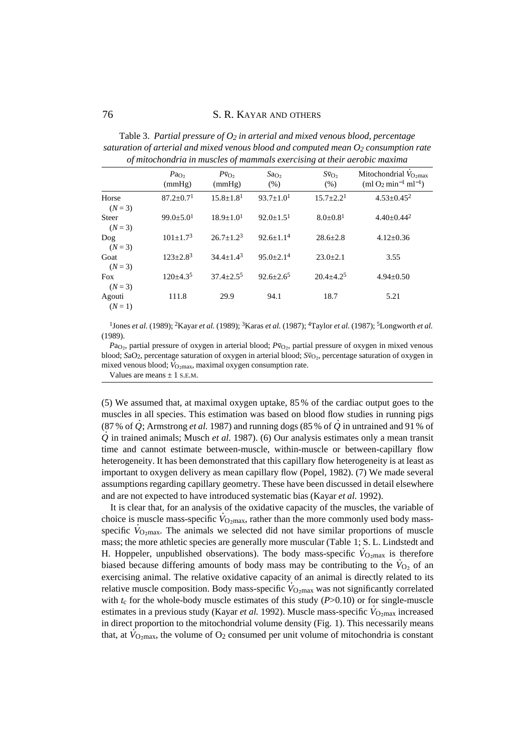Table 3. *Partial pressure of O2 in arterial and mixed venous blood, percentage saturation of arterial and mixed venous blood and computed mean O2 consumption rate of mitochondria in muscles of mammals exercising at their aerobic maxima*

|                         | Pa <sub>O</sub><br>(mmHg) | $P\bar{v}_O$<br>(mmHg)    | Sao <sub>2</sub><br>(% ) | $S\bar{v}_{O}$<br>(% )     | Mitochondrial $V_{\text{O,max}}$<br>(ml $O_2$ min <sup>-1</sup> ml <sup>-1</sup> ) |
|-------------------------|---------------------------|---------------------------|--------------------------|----------------------------|------------------------------------------------------------------------------------|
| Horse<br>$(N = 3)$      | $87.2 + 0.71$             | $15.8 + 1.8$ <sup>1</sup> | $93.7 + 1.01$            | $15.7 + 2.21$              | $4.53 + 0.45^2$                                                                    |
| <b>Steer</b><br>$(N=3)$ | $99.0 + 5.01$             | $18.9 + 1.01$             | $92.0+1.51$              | $8.0 \pm 0.8$ <sup>1</sup> | $4.40 \pm 0.44^2$                                                                  |
| Dog<br>$(N = 3)$        | $101+1.73$                | $26.7 + 1.2^3$            | $92.6 + 1.14$            | $28.6 + 2.8$               | $4.12 \pm 0.36$                                                                    |
| Goat<br>$(N=3)$         | $123 + 2.8^3$             | $34.4 + 1.4^3$            | $95.0 + 2.14$            | $23.0 + 2.1$               | 3.55                                                                               |
| Fox<br>$(N=3)$          | $120+4.35$                | $37.4 + 2.5^5$            | $92.6 + 2.6^5$           | $20.4 + 4.2^5$             | $4.94 \pm 0.50$                                                                    |
| Agouti<br>$(N=1)$       | 111.8                     | 29.9                      | 94.1                     | 18.7                       | 5.21                                                                               |

1Jones *et al.* (1989); 2Kayar *et al.* (1989); 3Karas *et al.* (1987); 4Taylor *et al.* (1987); 5Longworth *et al.* (1989).

Pa<sub>O2</sub>, partial pressure of oxygen in arterial blood; *P*v<sub>O2</sub>, partial pressure of oxygen in mixed venous blood; *S*aO<sub>2</sub>, percentage saturation of oxygen in arterial blood; *S*v<sub>O2</sub>, percentage saturation of oxygen in mixed venous blood; *V*<sub>O2max</sub>, maximal oxygen consumption rate.

Values are means  $\pm$  1 s.E.M.

(5) We assumed that, at maximal oxygen uptake, 85 % of the cardiac output goes to the muscles in all species. This estimation was based on blood flow studies in running pigs  $(87\% \text{ of } \hat{Q})$ ; Armstrong *et al.* 1987) and running dogs  $(85\% \text{ of } \hat{Q})$  in untrained and 91 % of  $\dot{Q}$  in trained animals; Musch *et al.* 1987). (6) Our analysis estimates only a mean transit  $\dot{Q}$ time and cannot estimate between-muscle, within-muscle or between-capillary flow heterogeneity. It has been demonstrated that this capillary flow heterogeneity is at least as important to oxygen delivery as mean capillary flow (Popel, 1982). (7) We made several assumptions regarding capillary geometry. These have been discussed in detail elsewhere and are not expected to have introduced systematic bias (Kayar *et al.* 1992).

It is clear that, for an analysis of the oxidative capacity of the muscles, the variable of choice is muscle mass-specific  $\dot{V}_{\text{O}_2\text{max}}$ , rather than the more commonly used body massspecific  $\dot{V}_{\text{O}_2\text{max}}$ . The animals we selected did not have similar proportions of muscle mass; the more athletic species are generally more muscular (Table 1; S. L. Lindstedt and H. Hoppeler, unpublished observations). The body mass-specific  $\dot{V}_{\text{O}_2 \text{max}}$  is therefore biased because differing amounts of body mass may be contributing to the  $\dot{V}_{O_2}$  of an exercising animal. The relative oxidative capacity of an animal is directly related to its relative muscle composition. Body mass-specific  $\dot{V}_{\text{O}_2\text{max}}$  was not significantly correlated with  $t_c$  for the whole-body muscle estimates of this study ( $P > 0.10$ ) or for single-muscle what  $i_c$  for the whole body massive estimates or ans study  $(20.10)$  of for single massive estimates in a previous study (Kayar *et al.* 1992). Muscle mass-specific  $\dot{V}_{\text{O}_2\text{max}}$  increased in direct proportion to the mitochondrial volume density (Fig. 1). This necessarily means that, at  $\dot{V}_{\text{O}_2\text{max}}$ , the volume of  $O_2$  consumed per unit volume of mitochondria is constant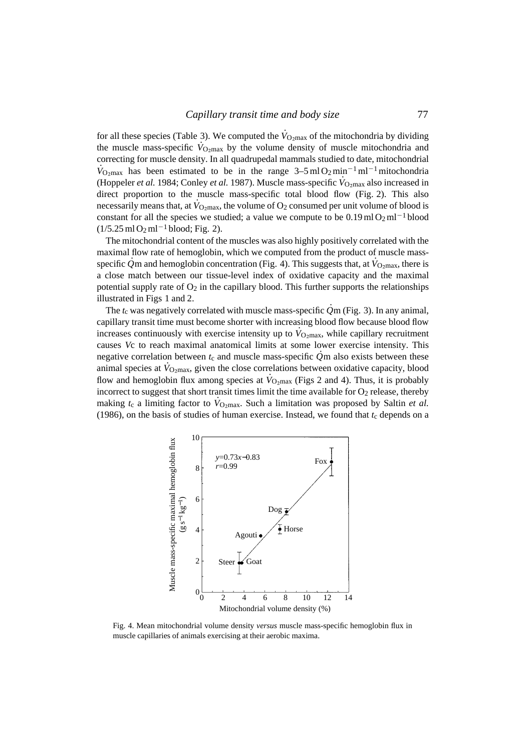for all these species (Table 3). We computed the  $\dot{V}_{\text{O}_2\text{max}}$  of the mitochondria by dividing the muscle mass-specific  $\dot{V}_{Q_2max}$  by the volume density of muscle mitochondria and correcting for muscle density. In all quadrupedal mammals studied to date, mitochondrial  $\dot{V}_{\text{O}_2\text{max}}$  has been estimated to be in the range  $3-5$  ml  $\text{O}_2$  min<sup>-1</sup> ml<sup>-1</sup> mitochondria (Hoppeler *et al.* 1984; Conley *et al.* 1987). Muscle mass-specific  $\dot{V}_{Q_2max}$  also increased in direct proportion to the muscle mass-specific total blood flow (Fig. 2). This also necessarily means that, at  $\dot{V}_{\text{O}_2\text{max}}$ , the volume of  $O_2$  consumed per unit volume of blood is constant for all the species we studied; a value we compute to be  $0.19 \text{ ml} \cdot 0.2 \text{ ml}^{-1}$  blood  $(1/5.25 \text{ ml O}_2 \text{ ml}^{-1} \text{ blood}; \text{Fig. 2}).$ 

The mitochondrial content of the muscles was also highly positively correlated with the maximal flow rate of hemoglobin, which we computed from the product of muscle massspecific  $\dot{Q}$ m and hemoglobin concentration (Fig. 4). This suggests that, at  $\dot{V}_{Q_2max}$ , there is a close match between our tissue-level index of oxidative capacity and the maximal potential supply rate of  $O_2$  in the capillary blood. This further supports the relationships illustrated in Figs 1 and 2.

The  $t_c$  was negatively correlated with muscle mass-specific  $\dot{Q}$ m (Fig. 3). In any animal, capillary transit time must become shorter with increasing blood flow because blood flow increases continuously with exercise intensity up to  $\dot{V}_{\text{O}_2\text{max}}$ , while capillary recruitment causes *V*c to reach maximal anatomical limits at some lower exercise intensity. This negative correlation between  $t_c$  and muscle mass-specific  $\dot{Q}$ m also exists between these animal species at  $V_{\text{O}_2\text{max}}$ , given the close correlations between oxidative capacity, blood flow and hemoglobin flux among species at  $\dot{V}_{\text{O2max}}$  (Figs 2 and 4). Thus, it is probably incorrect to suggest that short transit times limit the time available for  $O<sub>2</sub>$  release, thereby medicate to suggest that short transfer times him the time available for  $\sigma_2$  release, thereby making  $t_c$  a limiting factor to  $V_{\text{O}_2\text{max}}$ . Such a limitation was proposed by Saltin *et al.* (1986), on the basis of studies of human exercise. Instead, we found that  $t_c$  depends on a



Fig. 4. Mean mitochondrial volume density *versus* muscle mass-specific hemoglobin flux in muscle capillaries of animals exercising at their aerobic maxima.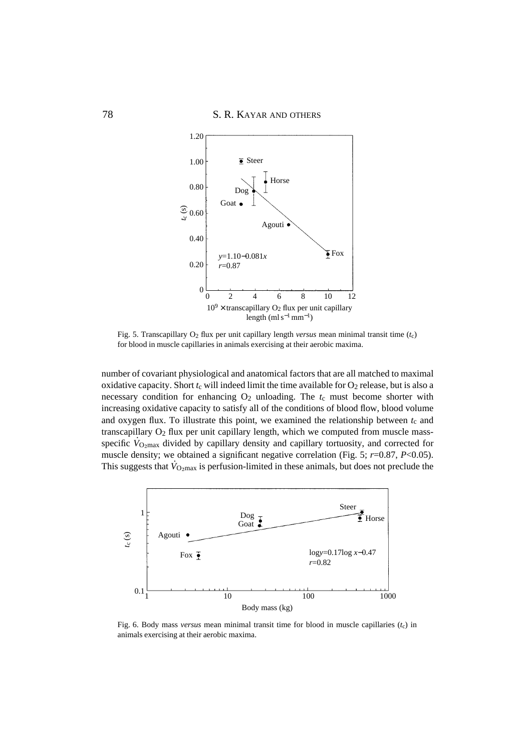

Fig. 5. Transcapillary O2 flux per unit capillary length *versus* mean minimal transit time (*t*c) for blood in muscle capillaries in animals exercising at their aerobic maxima.

number of covariant physiological and anatomical factors that are all matched to maximal oxidative capacity. Short  $t_c$  will indeed limit the time available for  $O_2$  release, but is also a necessary condition for enhancing O2 unloading. The *t*c must become shorter with increasing oxidative capacity to satisfy all of the conditions of blood flow, blood volume and oxygen flux. To illustrate this point, we examined the relationship between  $t_c$  and transcapillary O2 flux per unit capillary length, which we computed from muscle massspecific  $\dot{V}_{\text{O}_2\text{max}}$  divided by capillary density and capillary tortuosity, and corrected for muscle density; we obtained a significant negative correlation (Fig. 5; *r*=0.87, *P*<0.05). This suggests that  $\dot{V}_{\text{O}_2\text{max}}$  is perfusion-limited in these animals, but does not preclude the



Fig. 6. Body mass *versus* mean minimal transit time for blood in muscle capillaries ( $t_c$ ) in animals exercising at their aerobic maxima.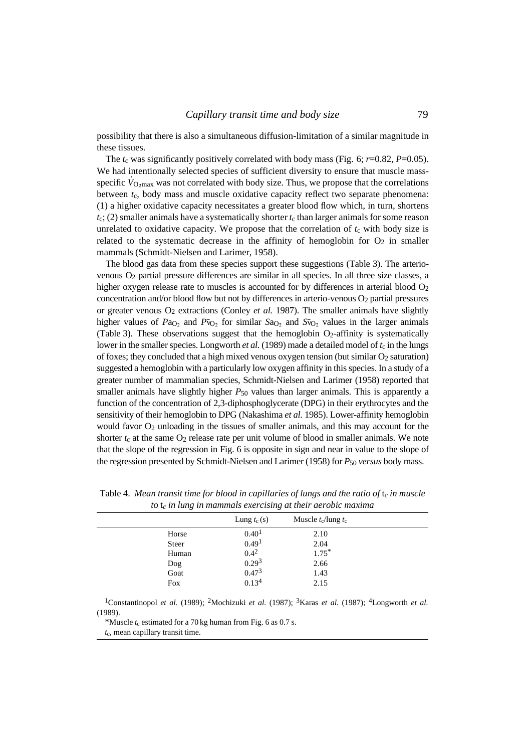possibility that there is also a simultaneous diffusion-limitation of a similar magnitude in these tissues.

The  $t_c$  was significantly positively correlated with body mass (Fig. 6;  $r=0.82$ ,  $P=0.05$ ). We had intentionally selected species of sufficient diversity to ensure that muscle massspecific  $\dot{V}_{\text{O}_2\text{max}}$  was not correlated with body size. Thus, we propose that the correlations between *t*c, body mass and muscle oxidative capacity reflect two separate phenomena: (1) a higher oxidative capacity necessitates a greater blood flow which, in turn, shortens  $t_c$ ; (2) smaller animals have a systematically shorter  $t_c$  than larger animals for some reason unrelated to oxidative capacity. We propose that the correlation of  $t_c$  with body size is related to the systematic decrease in the affinity of hemoglobin for  $O<sub>2</sub>$  in smaller mammals (Schmidt-Nielsen and Larimer, 1958).

The blood gas data from these species support these suggestions (Table 3). The arteriovenous O2 partial pressure differences are similar in all species. In all three size classes, a higher oxygen release rate to muscles is accounted for by differences in arterial blood O<sub>2</sub> concentration and/or blood flow but not by differences in arterio-venous  $O_2$  partial pressures or greater venous  $O_2$  extractions (Conley *et al.* 1987). The smaller animals have slightly higher values of  $P_{A_0}$  and  $P_{V_0}$  for similar  $S_{A_0}$  and  $S_{V_0}$  values in the larger animals (Table 3). These observations suggest that the hemoglobin  $O<sub>2</sub>$ -affinity is systematically lower in the smaller species. Longworth *et al.* (1989) made a detailed model of  $t_c$  in the lungs of foxes; they concluded that a high mixed venous oxygen tension (but similar  $O_2$  saturation) suggested a hemoglobin with a particularly low oxygen affinity in this species. In a study of a greater number of mammalian species, Schmidt-Nielsen and Larimer (1958) reported that smaller animals have slightly higher  $P_{50}$  values than larger animals. This is apparently a function of the concentration of 2,3-diphosphoglycerate (DPG) in their erythrocytes and the sensitivity of their hemoglobin to DPG (Nakashima *et al.* 1985). Lower-affinity hemoglobin would favor  $O_2$  unloading in the tissues of smaller animals, and this may account for the shorter  $t_c$  at the same  $O_2$  release rate per unit volume of blood in smaller animals. We note that the slope of the regression in Fig. 6 is opposite in sign and near in value to the slope of the regression presented by Schmidt-Nielsen and Larimer (1958) for *P*50 *versus* body mass.

|              | Lung $t_c(s)$     | Muscle $t_c$ /lung $t_c$ |  |
|--------------|-------------------|--------------------------|--|
| Horse        | 0.40 <sup>1</sup> | 2.10                     |  |
| <b>Steer</b> | 0.49 <sup>1</sup> | 2.04                     |  |
| Human        | $0.4^2$           | $1.75*$                  |  |
| Dog          | 0.29 <sup>3</sup> | 2.66                     |  |
| Goat         | 0.47 <sup>3</sup> | 1.43                     |  |
| Fox          | 0.13 <sup>4</sup> | 2.15                     |  |

Table 4. *Mean transit time for blood in capillaries of lungs and the ratio of* t*c in muscle to* t*c in lung in mammals exercising at their aerobic maxima*

1Constantinopol *et al.* (1989); 2Mochizuki *et al.* (1987); 3Karas *et al.* (1987); 4Longworth *et al.* (1989).

\*Muscle *t*<sup>c</sup> estimated for a 70 kg human from Fig. 6 as 0.7 s.

*t*c, mean capillary transit time.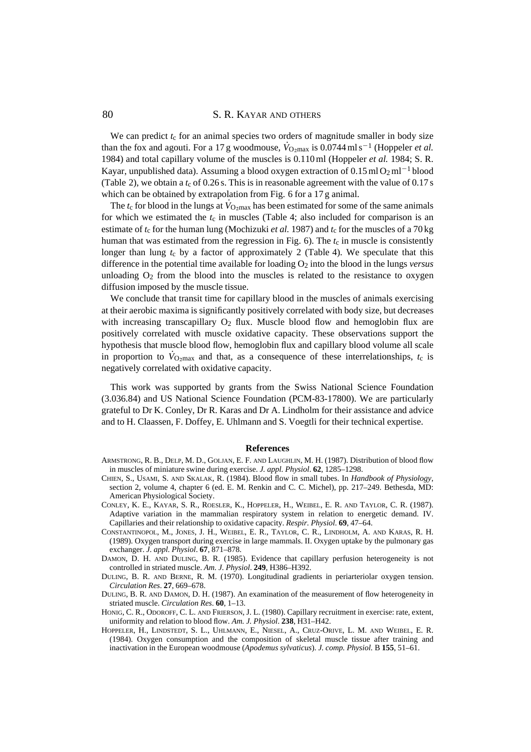80 **S. R. KAYAR AND OTHERS** 

We can predict  $t_c$  for an animal species two orders of magnitude smaller in body size than the fox and agouti. For a 17 g woodmouse,  $\dot{V}_{Q_2 \text{max}}$  is 0.0744 ml s<sup>-1</sup> (Hoppeler *et al.*) 1984) and total capillary volume of the muscles is 0.110 ml (Hoppeler *et al.* 1984; S. R. Kayar, unpublished data). Assuming a blood oxygen extraction of  $0.15 \text{ ml} \Omega_2 \text{ ml}^{-1}$  blood (Table 2), we obtain a  $t_c$  of 0.26 s. This is in reasonable agreement with the value of 0.17 s which can be obtained by extrapolation from Fig. 6 for a 17 g animal.

The  $t_c$  for blood in the lungs at  $\dot{V}_{\text{O}_2\text{max}}$  has been estimated for some of the same animals for which we estimated the  $t_c$  in muscles (Table 4; also included for comparison is an estimate of  $t_c$  for the human lung (Mochizuki *et al.* 1987) and  $t_c$  for the muscles of a 70 kg human that was estimated from the regression in Fig.  $6$ ). The  $t_c$  in muscle is consistently longer than lung  $t_c$  by a factor of approximately 2 (Table 4). We speculate that this difference in the potential time available for loading O2 into the blood in the lungs *versus* unloading  $O_2$  from the blood into the muscles is related to the resistance to oxygen diffusion imposed by the muscle tissue.

We conclude that transit time for capillary blood in the muscles of animals exercising at their aerobic maxima is significantly positively correlated with body size, but decreases with increasing transcapillary  $O_2$  flux. Muscle blood flow and hemoglobin flux are positively correlated with muscle oxidative capacity. These observations support the hypothesis that muscle blood flow, hemoglobin flux and capillary blood volume all scale in proportion to  $\dot{V}_{\text{O}_2 \text{max}}$  and that, as a consequence of these interrelationships,  $t_c$  is negatively correlated with oxidative capacity.

This work was supported by grants from the Swiss National Science Foundation (3.036.84) and US National Science Foundation (PCM-83-17800). We are particularly grateful to Dr K. Conley, Dr R. Karas and Dr A. Lindholm for their assistance and advice and to H. Claassen, F. Doffey, E. Uhlmann and S. Voegtli for their technical expertise.

#### **References**

- ARMSTRONG, R. B., DELP, M. D., GOLJAN, E. F. AND LAUGHLIN, M. H. (1987). Distribution of blood flow in muscles of miniature swine during exercise. *J. appl. Physiol*. **62**, 1285–1298.
- CHIEN, S., USAMI, S. AND SKALAK, R. (1984). Blood flow in small tubes. In *Handbook of Physiology*, section 2, volume 4, chapter 6 (ed. E. M. Renkin and C. C. Michel), pp. 217–249. Bethesda, MD: American Physiological Society.
- CONLEY, K. E., KAYAR, S. R., ROESLER, K., HOPPELER, H., WEIBEL, E. R. AND TAYLOR, C. R. (1987). Adaptive variation in the mammalian respiratory system in relation to energetic demand. IV. Capillaries and their relationship to oxidative capacity. *Respir. Physiol*. **69**, 47–64.
- CONSTANTINOPOL, M., JONES, J. H., WEIBEL, E. R., TAYLOR, C. R., LINDHOLM, A. AND KARAS, R. H. (1989). Oxygen transport during exercise in large mammals. II. Oxygen uptake by the pulmonary gas exchanger. *J. appl. Physiol*. **67**, 871–878.
- DAMON, D. H. AND DULING, B. R. (1985). Evidence that capillary perfusion heterogeneity is not controlled in striated muscle. *Am. J. Physiol*. **249**, H386–H392.
- DULING, B. R. AND BERNE, R. M. (1970). Longitudinal gradients in periarteriolar oxygen tension. *Circulation Res*. **27**, 669–678.
- DULING, B. R. AND DAMON, D. H. (1987). An examination of the measurement of flow heterogeneity in striated muscle. *Circulation Res*. **60**, 1–13.
- HONIG, C. R., ODOROFF, C. L. AND FRIERSON, J. L. (1980). Capillary recruitment in exercise: rate, extent, uniformity and relation to blood flow. *Am. J. Physiol*. **238**, H31–H42.
- HOPPELER, H., LINDSTEDT, S. L., UHLMANN, E., NIESEL, A., CRUZ-ORIVE, L. M. AND WEIBEL, E. R. (1984). Oxygen consumption and the composition of skeletal muscle tissue after training and inactivation in the European woodmouse (*Apodemus sylvaticus*). *J. comp. Physiol.* B **155**, 51–61.